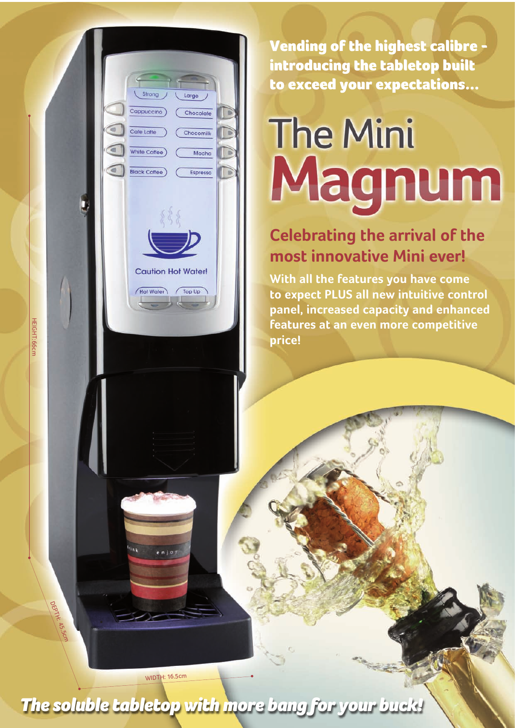Vending of the highest calibre introducing the tabletop built to exceed your expectations...

# **The Mini** Magnum

## **Celebrating the arrival of the most innovative Mini ever!**

**With all the features you have come to expect PLUS all new intuitive control panel, increased capacity and enhanced features at an even more competitive price!**

WIDTH: 16.5cm

 $e$ nio

Cappuccino

Cafe Latte

White Coffee

**Black Coffee** 

**Caution Hot Water!** 

Hot Water

 $\sqrt{\log \text{Up}}$ 

Chocolate

Chocomilk

Mocha

Espresso

*The soluble tabletop with more bang for your buck!*

HEIGHT:66cm

DEPTH:

45.5cm